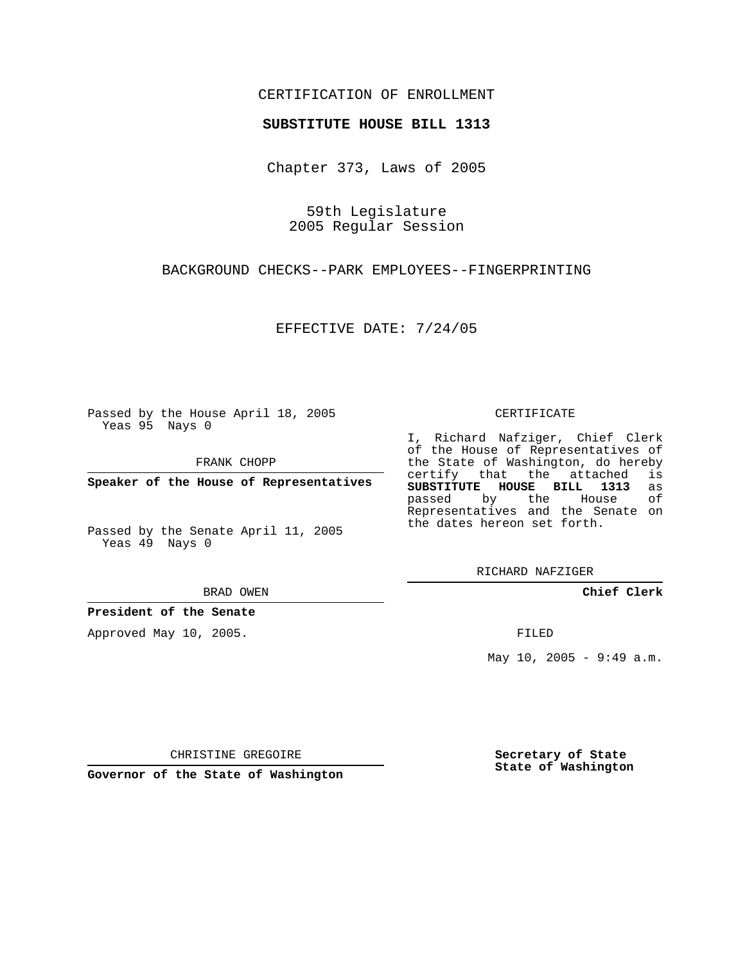## CERTIFICATION OF ENROLLMENT

### **SUBSTITUTE HOUSE BILL 1313**

Chapter 373, Laws of 2005

59th Legislature 2005 Regular Session

BACKGROUND CHECKS--PARK EMPLOYEES--FINGERPRINTING

EFFECTIVE DATE: 7/24/05

Passed by the House April 18, 2005 Yeas 95 Nays 0

FRANK CHOPP

**Speaker of the House of Representatives**

Passed by the Senate April 11, 2005 Yeas 49 Nays 0

BRAD OWEN

**President of the Senate**

Approved May 10, 2005.

CERTIFICATE

I, Richard Nafziger, Chief Clerk of the House of Representatives of the State of Washington, do hereby<br>certify that the attached is certify that the attached **SUBSTITUTE HOUSE BILL 1313** as passed by the House of Representatives and the Senate on the dates hereon set forth.

RICHARD NAFZIGER

**Chief Clerk**

FILED

May 10, 2005 - 9:49 a.m.

CHRISTINE GREGOIRE

**Governor of the State of Washington**

**Secretary of State State of Washington**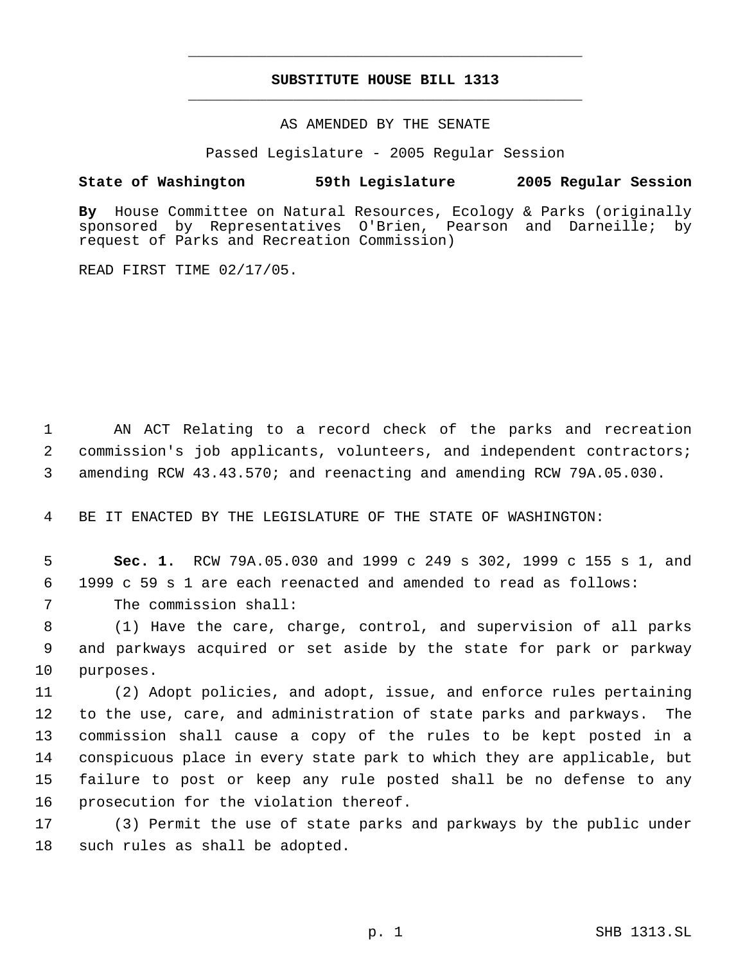# **SUBSTITUTE HOUSE BILL 1313** \_\_\_\_\_\_\_\_\_\_\_\_\_\_\_\_\_\_\_\_\_\_\_\_\_\_\_\_\_\_\_\_\_\_\_\_\_\_\_\_\_\_\_\_\_

\_\_\_\_\_\_\_\_\_\_\_\_\_\_\_\_\_\_\_\_\_\_\_\_\_\_\_\_\_\_\_\_\_\_\_\_\_\_\_\_\_\_\_\_\_

### AS AMENDED BY THE SENATE

Passed Legislature - 2005 Regular Session

### **State of Washington 59th Legislature 2005 Regular Session**

**By** House Committee on Natural Resources, Ecology & Parks (originally sponsored by Representatives O'Brien, Pearson and Darneille; by request of Parks and Recreation Commission)

READ FIRST TIME 02/17/05.

 AN ACT Relating to a record check of the parks and recreation commission's job applicants, volunteers, and independent contractors; amending RCW 43.43.570; and reenacting and amending RCW 79A.05.030.

BE IT ENACTED BY THE LEGISLATURE OF THE STATE OF WASHINGTON:

 **Sec. 1.** RCW 79A.05.030 and 1999 c 249 s 302, 1999 c 155 s 1, and 1999 c 59 s 1 are each reenacted and amended to read as follows: The commission shall:

 (1) Have the care, charge, control, and supervision of all parks and parkways acquired or set aside by the state for park or parkway purposes.

 (2) Adopt policies, and adopt, issue, and enforce rules pertaining to the use, care, and administration of state parks and parkways. The commission shall cause a copy of the rules to be kept posted in a conspicuous place in every state park to which they are applicable, but failure to post or keep any rule posted shall be no defense to any prosecution for the violation thereof.

 (3) Permit the use of state parks and parkways by the public under such rules as shall be adopted.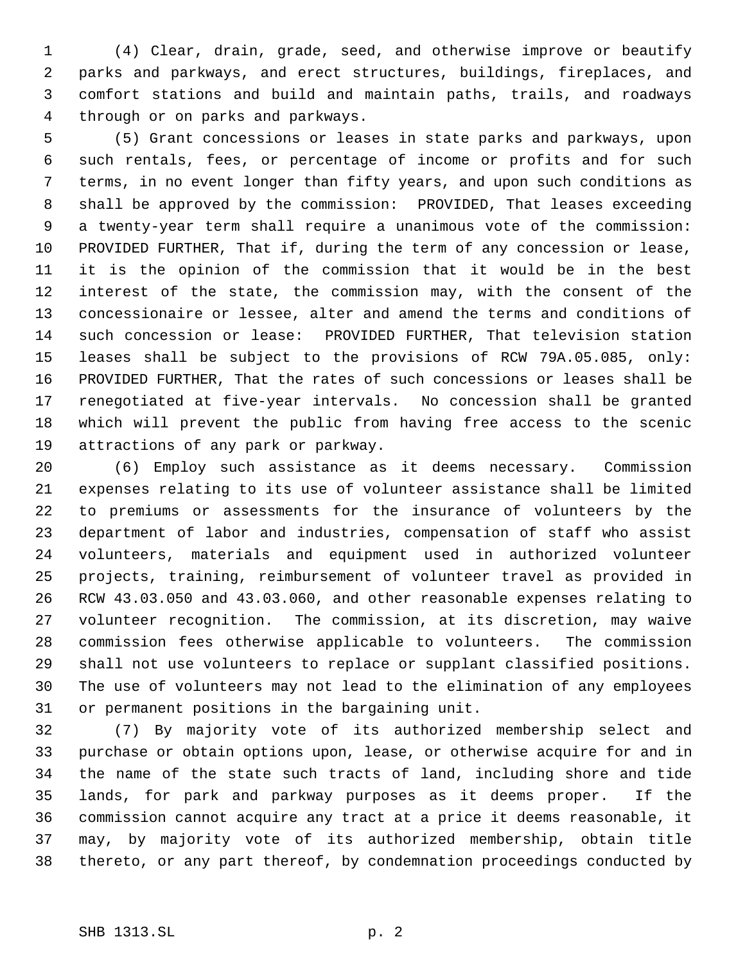(4) Clear, drain, grade, seed, and otherwise improve or beautify parks and parkways, and erect structures, buildings, fireplaces, and comfort stations and build and maintain paths, trails, and roadways through or on parks and parkways.

 (5) Grant concessions or leases in state parks and parkways, upon such rentals, fees, or percentage of income or profits and for such terms, in no event longer than fifty years, and upon such conditions as shall be approved by the commission: PROVIDED, That leases exceeding a twenty-year term shall require a unanimous vote of the commission: PROVIDED FURTHER, That if, during the term of any concession or lease, it is the opinion of the commission that it would be in the best interest of the state, the commission may, with the consent of the concessionaire or lessee, alter and amend the terms and conditions of such concession or lease: PROVIDED FURTHER, That television station leases shall be subject to the provisions of RCW 79A.05.085, only: PROVIDED FURTHER, That the rates of such concessions or leases shall be renegotiated at five-year intervals. No concession shall be granted which will prevent the public from having free access to the scenic attractions of any park or parkway.

 (6) Employ such assistance as it deems necessary. Commission expenses relating to its use of volunteer assistance shall be limited to premiums or assessments for the insurance of volunteers by the department of labor and industries, compensation of staff who assist volunteers, materials and equipment used in authorized volunteer projects, training, reimbursement of volunteer travel as provided in RCW 43.03.050 and 43.03.060, and other reasonable expenses relating to volunteer recognition. The commission, at its discretion, may waive commission fees otherwise applicable to volunteers. The commission shall not use volunteers to replace or supplant classified positions. The use of volunteers may not lead to the elimination of any employees or permanent positions in the bargaining unit.

 (7) By majority vote of its authorized membership select and purchase or obtain options upon, lease, or otherwise acquire for and in the name of the state such tracts of land, including shore and tide lands, for park and parkway purposes as it deems proper. If the commission cannot acquire any tract at a price it deems reasonable, it may, by majority vote of its authorized membership, obtain title thereto, or any part thereof, by condemnation proceedings conducted by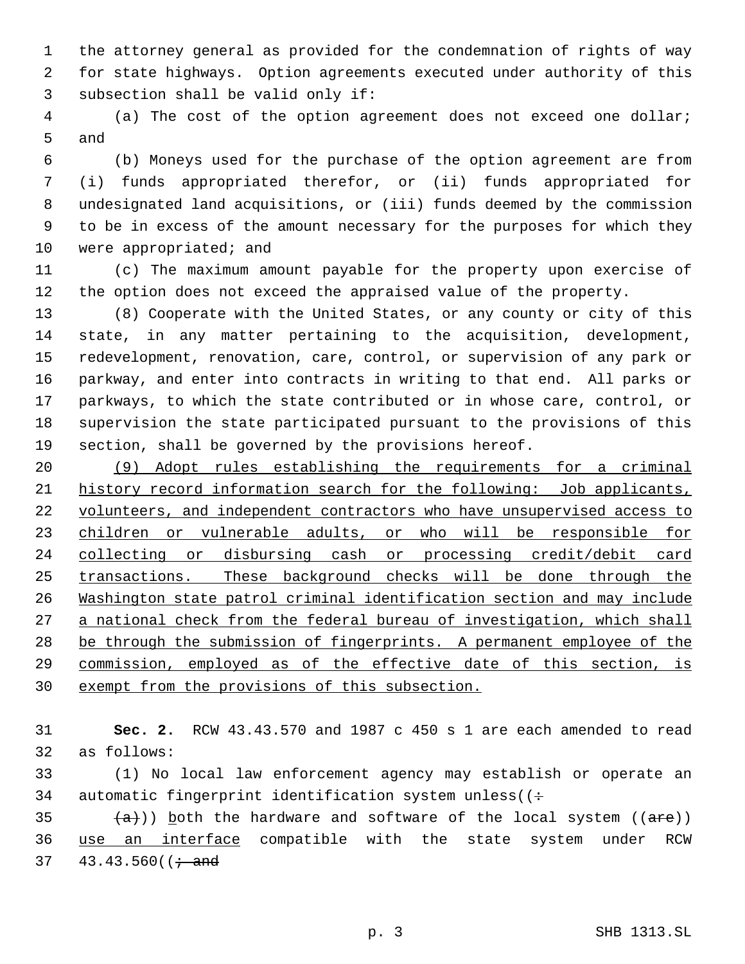the attorney general as provided for the condemnation of rights of way for state highways. Option agreements executed under authority of this subsection shall be valid only if:

 (a) The cost of the option agreement does not exceed one dollar; and

 (b) Moneys used for the purchase of the option agreement are from (i) funds appropriated therefor, or (ii) funds appropriated for undesignated land acquisitions, or (iii) funds deemed by the commission to be in excess of the amount necessary for the purposes for which they 10 were appropriated; and

 (c) The maximum amount payable for the property upon exercise of the option does not exceed the appraised value of the property.

 (8) Cooperate with the United States, or any county or city of this state, in any matter pertaining to the acquisition, development, redevelopment, renovation, care, control, or supervision of any park or parkway, and enter into contracts in writing to that end. All parks or parkways, to which the state contributed or in whose care, control, or supervision the state participated pursuant to the provisions of this section, shall be governed by the provisions hereof.

 (9) Adopt rules establishing the requirements for a criminal history record information search for the following: Job applicants, 22 volunteers, and independent contractors who have unsupervised access to children or vulnerable adults, or who will be responsible for collecting or disbursing cash or processing credit/debit card transactions. These background checks will be done through the Washington state patrol criminal identification section and may include a national check from the federal bureau of investigation, which shall be through the submission of fingerprints. A permanent employee of the commission, employed as of the effective date of this section, is exempt from the provisions of this subsection.

 **Sec. 2.** RCW 43.43.570 and 1987 c 450 s 1 are each amended to read as follows:

 (1) No local law enforcement agency may establish or operate an 34 automatic fingerprint identification system unless( $($  ÷

35  $(a)$ )) both the hardware and software of the local system ((are)) use an interface compatible with the state system under RCW 37  $43.43.560$  ( $\div$  and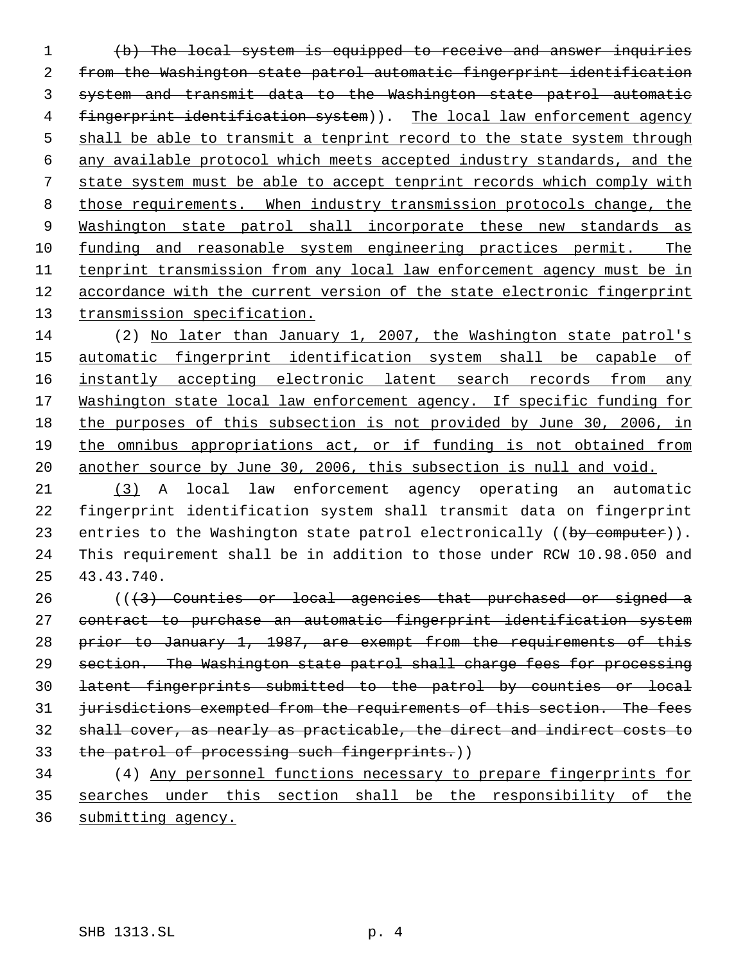(b) The local system is equipped to receive and answer inquiries from the Washington state patrol automatic fingerprint identification system and transmit data to the Washington state patrol automatic 4 fingerprint identification system)). The local law enforcement agency 5 shall be able to transmit a tenprint record to the state system through any available protocol which meets accepted industry standards, and the state system must be able to accept tenprint records which comply with those requirements. When industry transmission protocols change, the 9 Washington state patrol shall incorporate these new standards as 10 funding and reasonable system engineering practices permit. The tenprint transmission from any local law enforcement agency must be in accordance with the current version of the state electronic fingerprint 13 transmission specification.

 (2) No later than January 1, 2007, the Washington state patrol's automatic fingerprint identification system shall be capable of 16 instantly accepting electronic latent search records from any 17 Washington state local law enforcement agency. If specific funding for the purposes of this subsection is not provided by June 30, 2006, in the omnibus appropriations act, or if funding is not obtained from another source by June 30, 2006, this subsection is null and void.

 (3) A local law enforcement agency operating an automatic fingerprint identification system shall transmit data on fingerprint 23 entries to the Washington state patrol electronically ((by computer)). This requirement shall be in addition to those under RCW 10.98.050 and 43.43.740.

 (( $\left(3\right)$  Counties or local agencies that purchased or signed a contract to purchase an automatic fingerprint identification system prior to January 1, 1987, are exempt from the requirements of this section. The Washington state patrol shall charge fees for processing latent fingerprints submitted to the patrol by counties or local 31 jurisdictions exempted from the requirements of this section. The fees shall cover, as nearly as practicable, the direct and indirect costs to 33 the patrol of processing such fingerprints.)) (4) Any personnel functions necessary to prepare fingerprints for

 searches under this section shall be the responsibility of the submitting agency.